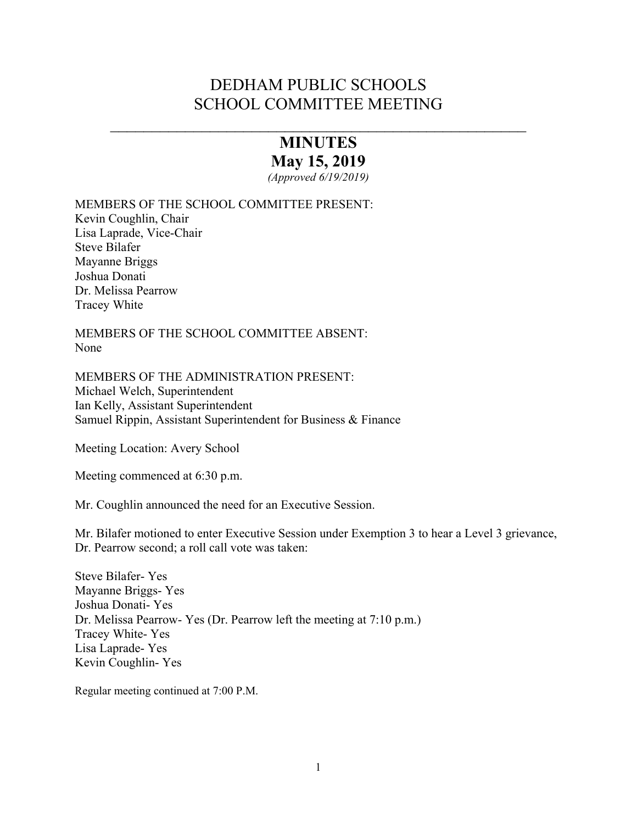# DEDHAM PUBLIC SCHOOLS SCHOOL COMMITTEE MEETING

# **MINUTES May 15, 2019**

 $\overline{\phantom{a}}$  , and the contract of the contract of the contract of the contract of the contract of the contract of the contract of the contract of the contract of the contract of the contract of the contract of the contrac

*(Approved 6/19/2019)* 

MEMBERS OF THE SCHOOL COMMITTEE PRESENT:

Kevin Coughlin, Chair Lisa Laprade, Vice-Chair Steve Bilafer Mayanne Briggs Joshua Donati Dr. Melissa Pearrow Tracey White

MEMBERS OF THE SCHOOL COMMITTEE ABSENT: None

MEMBERS OF THE ADMINISTRATION PRESENT: Michael Welch, Superintendent Ian Kelly, Assistant Superintendent Samuel Rippin, Assistant Superintendent for Business & Finance

Meeting Location: Avery School

Meeting commenced at 6:30 p.m.

Mr. Coughlin announced the need for an Executive Session.

Mr. Bilafer motioned to enter Executive Session under Exemption 3 to hear a Level 3 grievance, Dr. Pearrow second; a roll call vote was taken:

Steve Bilafer- Yes Mayanne Briggs- Yes Joshua Donati- Yes Dr. Melissa Pearrow- Yes (Dr. Pearrow left the meeting at 7:10 p.m.) Tracey White- Yes Lisa Laprade- Yes Kevin Coughlin- Yes

Regular meeting continued at 7:00 P.M.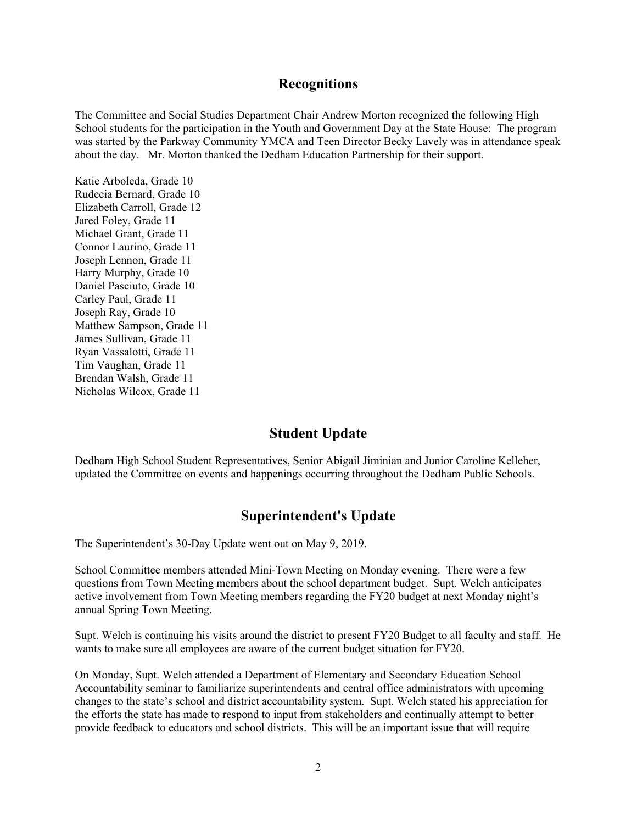### **Recognitions**

The Committee and Social Studies Department Chair Andrew Morton recognized the following High School students for the participation in the Youth and Government Day at the State House: The program was started by the Parkway Community YMCA and Teen Director Becky Lavely was in attendance speak about the day. Mr. Morton thanked the Dedham Education Partnership for their support.

Katie Arboleda, Grade 10 Rudecia Bernard, Grade 10 Elizabeth Carroll, Grade 12 Jared Foley, Grade 11 Michael Grant, Grade 11 Connor Laurino, Grade 11 Joseph Lennon, Grade 11 Harry Murphy, Grade 10 Daniel Pasciuto, Grade 10 Carley Paul, Grade 11 Joseph Ray, Grade 10 Matthew Sampson, Grade 11 James Sullivan, Grade 11 Ryan Vassalotti, Grade 11 Tim Vaughan, Grade 11 Brendan Walsh, Grade 11 Nicholas Wilcox, Grade 11

# **Student Update**

Dedham High School Student Representatives, Senior Abigail Jiminian and Junior Caroline Kelleher, updated the Committee on events and happenings occurring throughout the Dedham Public Schools.

# **Superintendent's Update**

The Superintendent's 30-Day Update went out on May 9, 2019.

School Committee members attended Mini-Town Meeting on Monday evening. There were a few questions from Town Meeting members about the school department budget. Supt. Welch anticipates active involvement from Town Meeting members regarding the FY20 budget at next Monday night's annual Spring Town Meeting.

Supt. Welch is continuing his visits around the district to present FY20 Budget to all faculty and staff. He wants to make sure all employees are aware of the current budget situation for FY20.

On Monday, Supt. Welch attended a Department of Elementary and Secondary Education School Accountability seminar to familiarize superintendents and central office administrators with upcoming changes to the state's school and district accountability system. Supt. Welch stated his appreciation for the efforts the state has made to respond to input from stakeholders and continually attempt to better provide feedback to educators and school districts. This will be an important issue that will require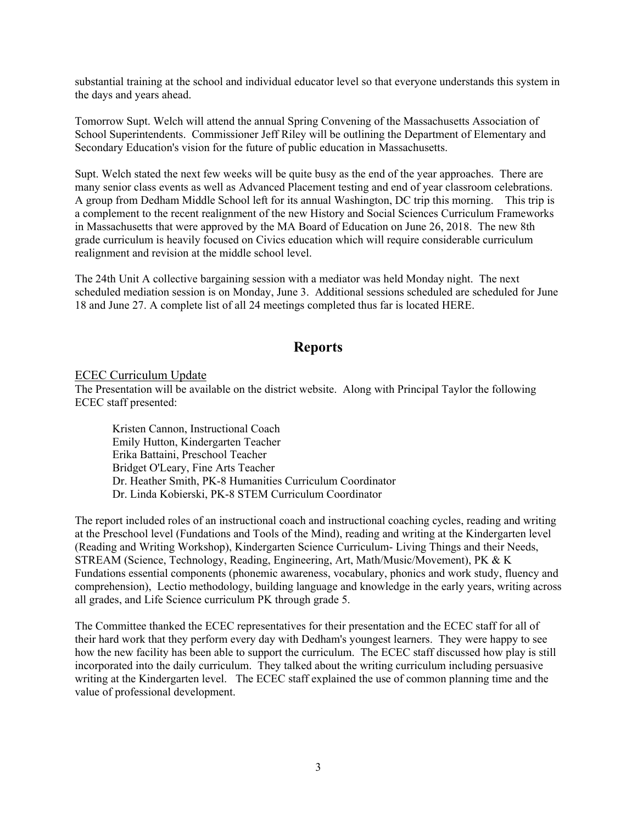substantial training at the school and individual educator level so that everyone understands this system in the days and years ahead.

Tomorrow Supt. Welch will attend the annual Spring Convening of the Massachusetts Association of School Superintendents. Commissioner Jeff Riley will be outlining the Department of Elementary and Secondary Education's vision for the future of public education in Massachusetts.

Supt. Welch stated the next few weeks will be quite busy as the end of the year approaches. There are many senior class events as well as Advanced Placement testing and end of year classroom celebrations. A group from Dedham Middle School left for its annual Washington, DC trip this morning. This trip is a complement to the recent realignment of the new History and Social Sciences Curriculum Frameworks in Massachusetts that were approved by the MA Board of Education on June 26, 2018. The new 8th grade curriculum is heavily focused on Civics education which will require considerable curriculum realignment and revision at the middle school level.

The 24th Unit A collective bargaining session with a mediator was held Monday night. The next scheduled mediation session is on Monday, June 3. Additional sessions scheduled are scheduled for June 18 and June 27. A complete list of all 24 meetings completed thus far is located HERE.

# **Reports**

#### ECEC Curriculum Update

The Presentation will be available on the district website. Along with Principal Taylor the following ECEC staff presented:

 Kristen Cannon, Instructional Coach Emily Hutton, Kindergarten Teacher Erika Battaini, Preschool Teacher Bridget O'Leary, Fine Arts Teacher Dr. Heather Smith, PK-8 Humanities Curriculum Coordinator Dr. Linda Kobierski, PK-8 STEM Curriculum Coordinator

The report included roles of an instructional coach and instructional coaching cycles, reading and writing at the Preschool level (Fundations and Tools of the Mind), reading and writing at the Kindergarten level (Reading and Writing Workshop), Kindergarten Science Curriculum- Living Things and their Needs, STREAM (Science, Technology, Reading, Engineering, Art, Math/Music/Movement), PK & K Fundations essential components (phonemic awareness, vocabulary, phonics and work study, fluency and comprehension), Lectio methodology, building language and knowledge in the early years, writing across all grades, and Life Science curriculum PK through grade 5.

The Committee thanked the ECEC representatives for their presentation and the ECEC staff for all of their hard work that they perform every day with Dedham's youngest learners. They were happy to see how the new facility has been able to support the curriculum. The ECEC staff discussed how play is still incorporated into the daily curriculum. They talked about the writing curriculum including persuasive writing at the Kindergarten level. The ECEC staff explained the use of common planning time and the value of professional development.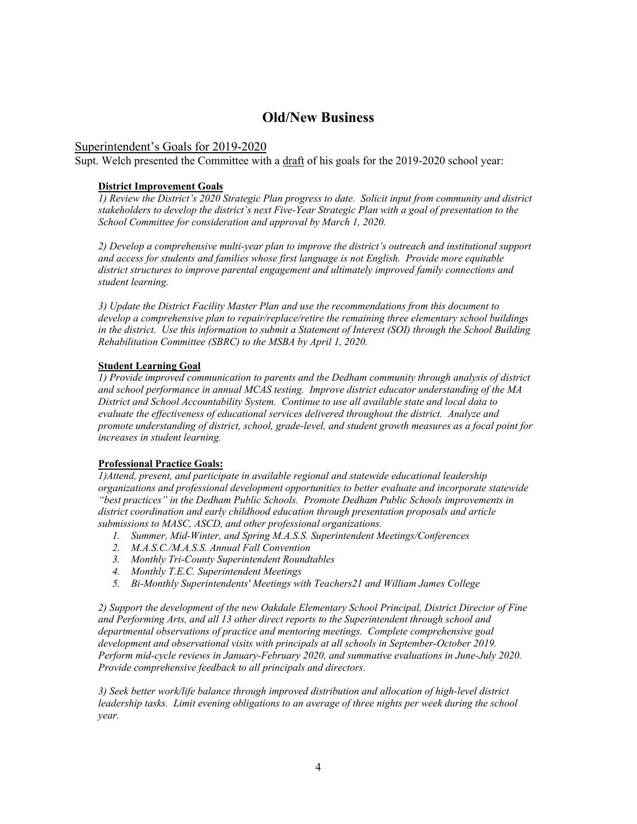# **Old/New Business**

#### Superintendent's Goals for 2019-2020

Supt. Welch presented the Committee with a draft of his goals for the 2019-2020 school year:

#### **District Improvement Goals**

*1) Review the District's 2020 Strategic Plan progress to date. Solicit input from community and district stakeholders to develop the district's next Five-Year Strategic Plan with a goal of presentation to the School Committee for consideration and approval by March 1, 2020.*

*2) Develop a comprehensive multi-year plan to improve the district's outreach and institutional support and access for students and families whose first language is not English. Provide more equitable district structures to improve parental engagement and ultimately improved family connections and student learning.*

*3) Update the District Facility Master Plan and use the recommendations from this document to develop a comprehensive plan to repair/replace/retire the remaining three elementary school buildings in the district. Use this information to submit a Statement of Interest (SOI) through the School Building Rehabilitation Committee (SBRC) to the MSBA by April 1, 2020.*

#### **Student Learning Goal**

*1) Provide improved communication to parents and the Dedham community through analysis of district and school performance in annual MCAS testing. Improve district educator understanding of the MA District and School Accountability System. Continue to use all available state and local data to evaluate the effectiveness of educational services delivered throughout the district. Analyze and promote understanding of district, school, grade-level, and student growth measures as a focal point for increases in student learning.* 

#### **Professional Practice Goals:**

*1)Attend, present, and participate in available regional and statewide educational leadership organizations and professional development opportunities to better evaluate and incorporate statewide "best practices" in the Dedham Public Schools. Promote Dedham Public Schools improvements in district coordination and early childhood education through presentation proposals and article submissions to MASC, ASCD, and other professional organizations.*

- *1. Summer, Mid-Winter, and Spring M.A.S.S. Superintendent Meetings/Conferences*
- *2. M.A.S.C./M.A.S.S. Annual Fall Convention*
- *3. Monthly Tri-County Superintendent Roundtables*
- *4. Monthly T.E.C. Superintendent Meetings*
- *5. Bi-Monthly Superintendents' Meetings with Teachers21 and William James College*

*2) Support the development of the new Oakdale Elementary School Principal, District Director of Fine and Performing Arts, and all 13 other direct reports to the Superintendent through school and departmental observations of practice and mentoring meetings. Complete comprehensive goal development and observational visits with principals at all schools in September-October 2019. Perform mid-cycle reviews in January-February 2020, and summative evaluations in June-July 2020. Provide comprehensive feedback to all principals and directors.*

*3) Seek better work/life balance through improved distribution and allocation of high-level district leadership tasks. Limit evening obligations to an average of three nights per week during the school year.*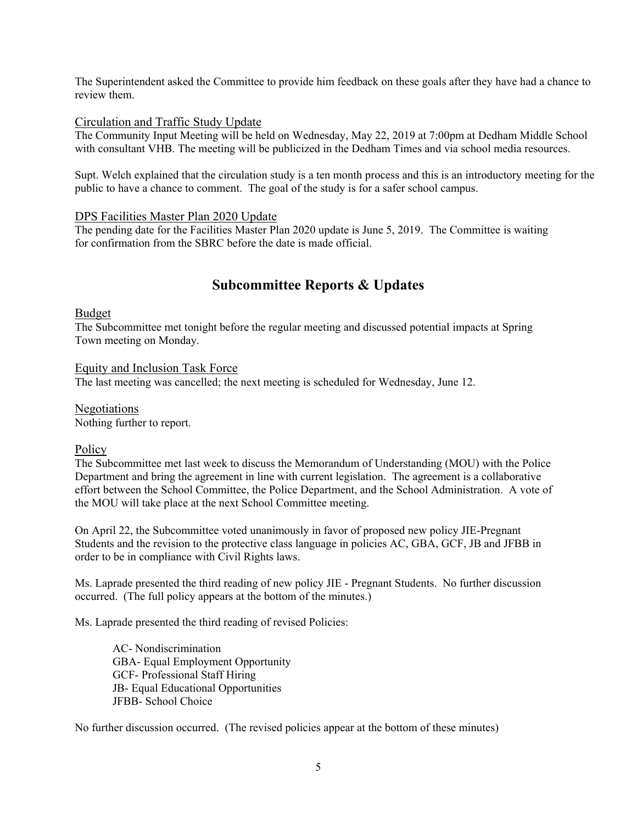The Superintendent asked the Committee to provide him feedback on these goals after they have had a chance to review them.

#### Circulation and Traffic Study Update

The Community Input Meeting will be held on Wednesday, May 22, 2019 at 7:00pm at Dedham Middle School with consultant VHB. The meeting will be publicized in the Dedham Times and via school media resources.

Supt. Welch explained that the circulation study is a ten month process and this is an introductory meeting for the public to have a chance to comment. The goal of the study is for a safer school campus.

#### DPS Facilities Master Plan 2020 Update

The pending date for the Facilities Master Plan 2020 update is June 5, 2019. The Committee is waiting for confirmation from the SBRC before the date is made official.

# **Subcommittee Reports & Updates**

#### Budget

The Subcommittee met tonight before the regular meeting and discussed potential impacts at Spring Town meeting on Monday.

Equity and Inclusion Task Force The last meeting was cancelled; the next meeting is scheduled for Wednesday, June 12.

Negotiations Nothing further to report.

### **Policy**

The Subcommittee met last week to discuss the Memorandum of Understanding (MOU) with the Police Department and bring the agreement in line with current legislation. The agreement is a collaborative effort between the School Committee, the Police Department, and the School Administration. A vote of the MOU will take place at the next School Committee meeting.

On April 22, the Subcommittee voted unanimously in favor of proposed new policy JIE-Pregnant Students and the revision to the protective class language in policies AC, GBA, GCF, JB and JFBB in order to be in compliance with Civil Rights laws.

Ms. Laprade presented the third reading of new policy JIE - Pregnant Students. No further discussion occurred. (The full policy appears at the bottom of the minutes.)

Ms. Laprade presented the third reading of revised Policies:

 AC- Nondiscrimination GBA- Equal Employment Opportunity GCF- Professional Staff Hiring JB- Equal Educational Opportunities JFBB- School Choice

No further discussion occurred. (The revised policies appear at the bottom of these minutes)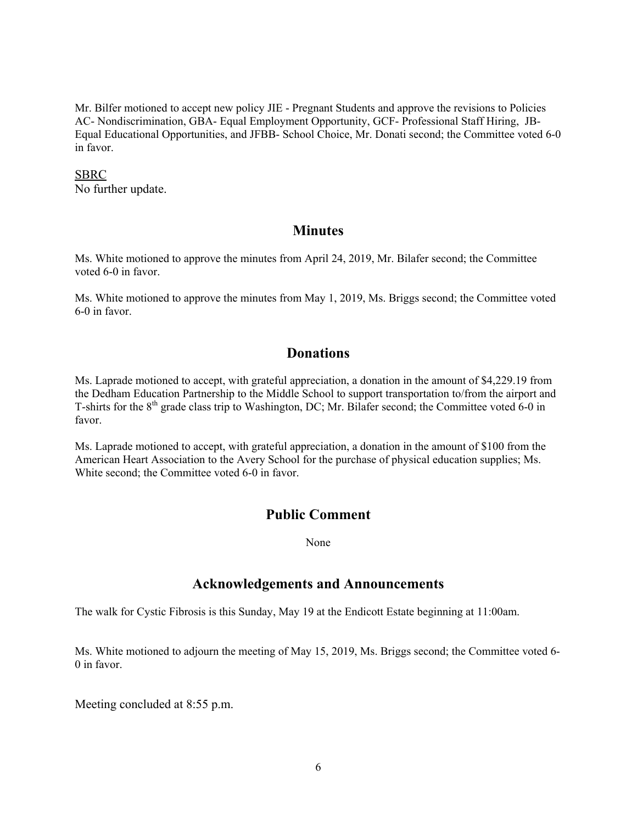Mr. Bilfer motioned to accept new policy JIE - Pregnant Students and approve the revisions to Policies AC- Nondiscrimination, GBA- Equal Employment Opportunity, GCF- Professional Staff Hiring, JB-Equal Educational Opportunities, and JFBB- School Choice, Mr. Donati second; the Committee voted 6-0 in favor.

#### SBRC

No further update.

# **Minutes**

Ms. White motioned to approve the minutes from April 24, 2019, Mr. Bilafer second; the Committee voted 6-0 in favor.

Ms. White motioned to approve the minutes from May 1, 2019, Ms. Briggs second; the Committee voted 6-0 in favor.

# **Donations**

Ms. Laprade motioned to accept, with grateful appreciation, a donation in the amount of \$4,229.19 from the Dedham Education Partnership to the Middle School to support transportation to/from the airport and T-shirts for the  $8<sup>th</sup>$  grade class trip to Washington, DC; Mr. Bilafer second; the Committee voted 6-0 in favor.

Ms. Laprade motioned to accept, with grateful appreciation, a donation in the amount of \$100 from the American Heart Association to the Avery School for the purchase of physical education supplies; Ms. White second; the Committee voted 6-0 in favor.

# **Public Comment**

None

# **Acknowledgements and Announcements**

The walk for Cystic Fibrosis is this Sunday, May 19 at the Endicott Estate beginning at 11:00am.

Ms. White motioned to adjourn the meeting of May 15, 2019, Ms. Briggs second; the Committee voted 6- 0 in favor.

Meeting concluded at 8:55 p.m.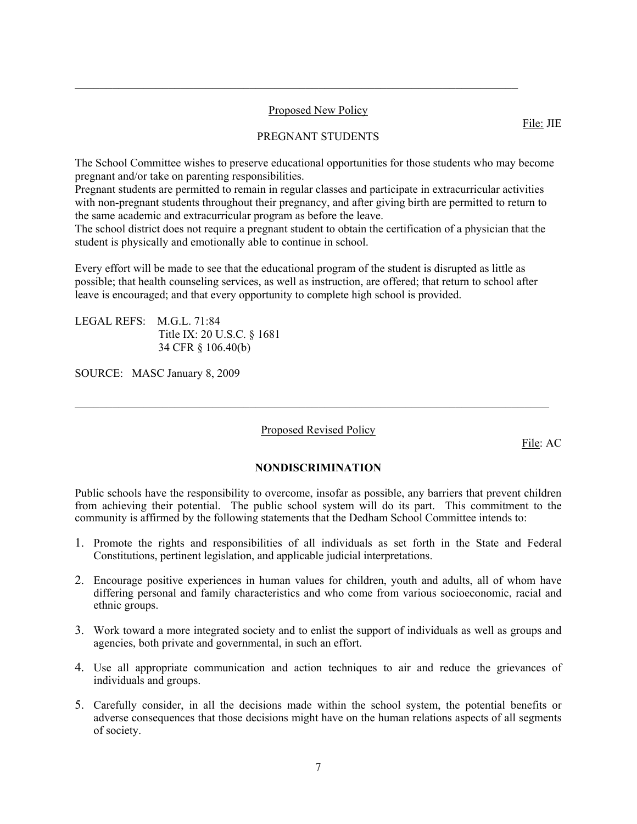#### Proposed New Policy

 $\mathcal{L}_\text{max}$  , and the contribution of the contribution of the contribution of the contribution of the contribution of the contribution of the contribution of the contribution of the contribution of the contribution of t

#### PREGNANT STUDENTS

The School Committee wishes to preserve educational opportunities for those students who may become pregnant and/or take on parenting responsibilities.

Pregnant students are permitted to remain in regular classes and participate in extracurricular activities with non-pregnant students throughout their pregnancy, and after giving birth are permitted to return to the same academic and extracurricular program as before the leave.

The school district does not require a pregnant student to obtain the certification of a physician that the student is physically and emotionally able to continue in school.

Every effort will be made to see that the educational program of the student is disrupted as little as possible; that health counseling services, as well as instruction, are offered; that return to school after leave is encouraged; and that every opportunity to complete high school is provided.

LEGAL REFS: M.G.L. 71:84 Title IX: 20 U.S.C. § 1681 34 CFR § 106.40(b)

SOURCE: MASC January 8, 2009

Proposed Revised Policy

 $\mathcal{L}_\mathcal{L} = \{ \mathcal{L}_\mathcal{L} = \{ \mathcal{L}_\mathcal{L} = \{ \mathcal{L}_\mathcal{L} = \{ \mathcal{L}_\mathcal{L} = \{ \mathcal{L}_\mathcal{L} = \{ \mathcal{L}_\mathcal{L} = \{ \mathcal{L}_\mathcal{L} = \{ \mathcal{L}_\mathcal{L} = \{ \mathcal{L}_\mathcal{L} = \{ \mathcal{L}_\mathcal{L} = \{ \mathcal{L}_\mathcal{L} = \{ \mathcal{L}_\mathcal{L} = \{ \mathcal{L}_\mathcal{L} = \{ \mathcal{L}_\mathcal{$ 

File: AC

#### **NONDISCRIMINATION**

Public schools have the responsibility to overcome, insofar as possible, any barriers that prevent children from achieving their potential. The public school system will do its part. This commitment to the community is affirmed by the following statements that the Dedham School Committee intends to:

- 1. Promote the rights and responsibilities of all individuals as set forth in the State and Federal Constitutions, pertinent legislation, and applicable judicial interpretations.
- 2. Encourage positive experiences in human values for children, youth and adults, all of whom have differing personal and family characteristics and who come from various socioeconomic, racial and ethnic groups.
- 3. Work toward a more integrated society and to enlist the support of individuals as well as groups and agencies, both private and governmental, in such an effort.
- 4. Use all appropriate communication and action techniques to air and reduce the grievances of individuals and groups.
- 5. Carefully consider, in all the decisions made within the school system, the potential benefits or adverse consequences that those decisions might have on the human relations aspects of all segments of society.

File: JIE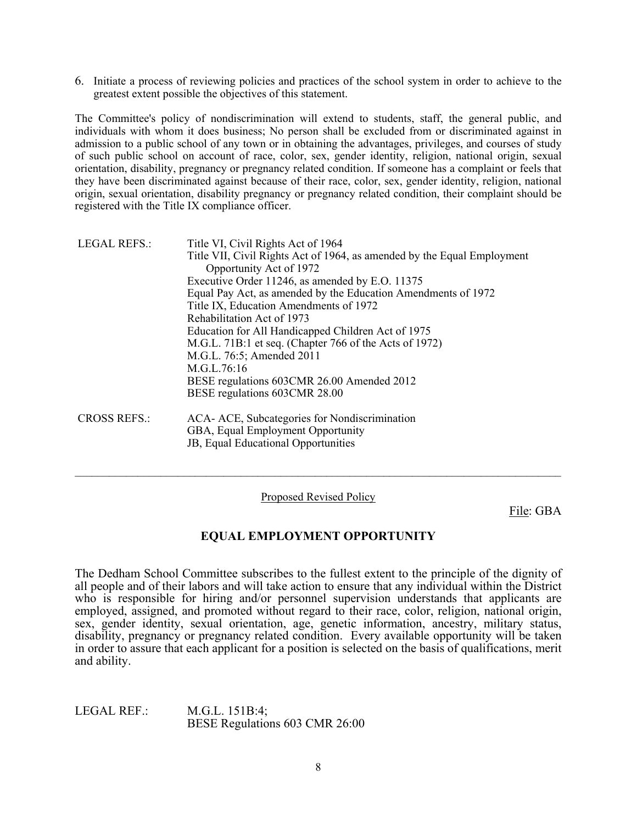6. Initiate a process of reviewing policies and practices of the school system in order to achieve to the greatest extent possible the objectives of this statement.

The Committee's policy of nondiscrimination will extend to students, staff, the general public, and individuals with whom it does business; No person shall be excluded from or discriminated against in admission to a public school of any town or in obtaining the advantages, privileges, and courses of study of such public school on account of race, color, sex, gender identity, religion, national origin, sexual orientation, disability, pregnancy or pregnancy related condition. If someone has a complaint or feels that they have been discriminated against because of their race, color, sex, gender identity, religion, national origin, sexual orientation, disability pregnancy or pregnancy related condition, their complaint should be registered with the Title IX compliance officer.

| <b>LEGAL REFS.:</b> | Title VI, Civil Rights Act of 1964<br>Title VII, Civil Rights Act of 1964, as amended by the Equal Employment<br>Opportunity Act of 1972<br>Executive Order 11246, as amended by E.O. 11375<br>Equal Pay Act, as amended by the Education Amendments of 1972<br>Title IX, Education Amendments of 1972<br>Rehabilitation Act of 1973<br>Education for All Handicapped Children Act of 1975<br>M.G.L. 71B:1 et seq. (Chapter 766 of the Acts of 1972)<br>M.G.L. 76:5; Amended 2011<br>M.G.L.76:16<br>BESE regulations 603CMR 26.00 Amended 2012<br>BESE regulations 603CMR 28.00 |
|---------------------|---------------------------------------------------------------------------------------------------------------------------------------------------------------------------------------------------------------------------------------------------------------------------------------------------------------------------------------------------------------------------------------------------------------------------------------------------------------------------------------------------------------------------------------------------------------------------------|
| <b>CROSS REFS.:</b> | ACA- ACE, Subcategories for Nondiscrimination<br>GBA, Equal Employment Opportunity<br>JB, Equal Educational Opportunities                                                                                                                                                                                                                                                                                                                                                                                                                                                       |

Proposed Revised Policy

 $\mathcal{L}_\text{max} = \mathcal{L}_\text{max} = \mathcal{L}_\text{max} = \mathcal{L}_\text{max} = \mathcal{L}_\text{max} = \mathcal{L}_\text{max} = \mathcal{L}_\text{max} = \mathcal{L}_\text{max} = \mathcal{L}_\text{max} = \mathcal{L}_\text{max} = \mathcal{L}_\text{max} = \mathcal{L}_\text{max} = \mathcal{L}_\text{max} = \mathcal{L}_\text{max} = \mathcal{L}_\text{max} = \mathcal{L}_\text{max} = \mathcal{L}_\text{max} = \mathcal{L}_\text{max} = \mathcal{$ 

File: GBA

# **EQUAL EMPLOYMENT OPPORTUNITY**

The Dedham School Committee subscribes to the fullest extent to the principle of the dignity of all people and of their labors and will take action to ensure that any individual within the District who is responsible for hiring and/or personnel supervision understands that applicants are employed, assigned, and promoted without regard to their race, color, religion, national origin, sex, gender identity, sexual orientation, age, genetic information, ancestry, military status, disability, pregnancy or pregnancy related condition. Every available opportunity will be taken in order to assure that each applicant for a position is selected on the basis of qualifications, merit and ability.

LEGAL REF.: M.G.L. 151B:4; BESE Regulations 603 CMR 26:00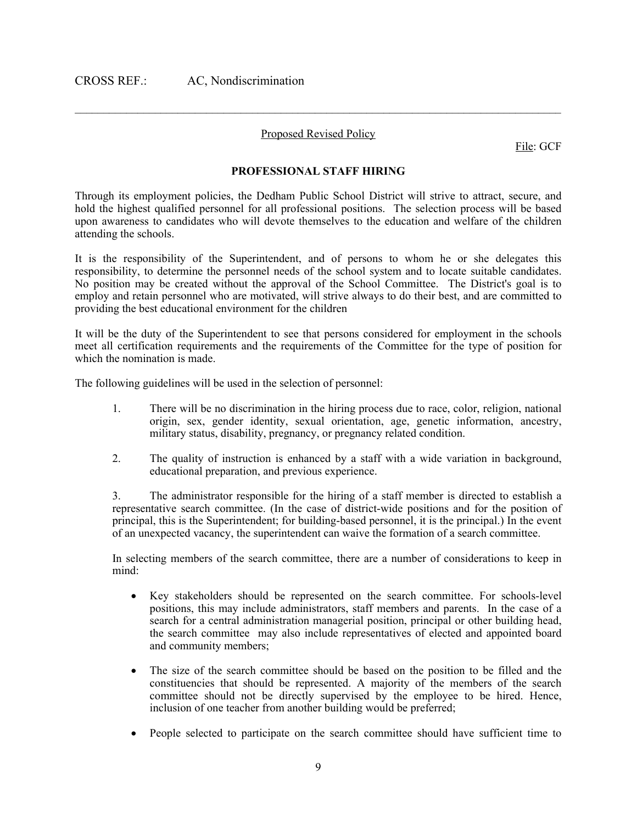#### Proposed Revised Policy

 $\mathcal{L}_\text{max} = \mathcal{L}_\text{max} = \mathcal{L}_\text{max} = \mathcal{L}_\text{max} = \mathcal{L}_\text{max} = \mathcal{L}_\text{max} = \mathcal{L}_\text{max} = \mathcal{L}_\text{max} = \mathcal{L}_\text{max} = \mathcal{L}_\text{max} = \mathcal{L}_\text{max} = \mathcal{L}_\text{max} = \mathcal{L}_\text{max} = \mathcal{L}_\text{max} = \mathcal{L}_\text{max} = \mathcal{L}_\text{max} = \mathcal{L}_\text{max} = \mathcal{L}_\text{max} = \mathcal{$ 

File: GCF

#### **PROFESSIONAL STAFF HIRING**

Through its employment policies, the Dedham Public School District will strive to attract, secure, and hold the highest qualified personnel for all professional positions. The selection process will be based upon awareness to candidates who will devote themselves to the education and welfare of the children attending the schools.

It is the responsibility of the Superintendent, and of persons to whom he or she delegates this responsibility, to determine the personnel needs of the school system and to locate suitable candidates. No position may be created without the approval of the School Committee. The District's goal is to employ and retain personnel who are motivated, will strive always to do their best, and are committed to providing the best educational environment for the children

It will be the duty of the Superintendent to see that persons considered for employment in the schools meet all certification requirements and the requirements of the Committee for the type of position for which the nomination is made.

The following guidelines will be used in the selection of personnel:

- 1. There will be no discrimination in the hiring process due to race, color, religion, national origin, sex, gender identity, sexual orientation, age, genetic information, ancestry, military status, disability, pregnancy, or pregnancy related condition.
- 2. The quality of instruction is enhanced by a staff with a wide variation in background, educational preparation, and previous experience.

3. The administrator responsible for the hiring of a staff member is directed to establish a representative search committee. (In the case of district-wide positions and for the position of principal, this is the Superintendent; for building-based personnel, it is the principal.) In the event of an unexpected vacancy, the superintendent can waive the formation of a search committee.

In selecting members of the search committee, there are a number of considerations to keep in mind:

- Key stakeholders should be represented on the search committee. For schools-level positions, this may include administrators, staff members and parents. In the case of a search for a central administration managerial position, principal or other building head, the search committee may also include representatives of elected and appointed board and community members;
- The size of the search committee should be based on the position to be filled and the constituencies that should be represented. A majority of the members of the search committee should not be directly supervised by the employee to be hired. Hence, inclusion of one teacher from another building would be preferred;
- People selected to participate on the search committee should have sufficient time to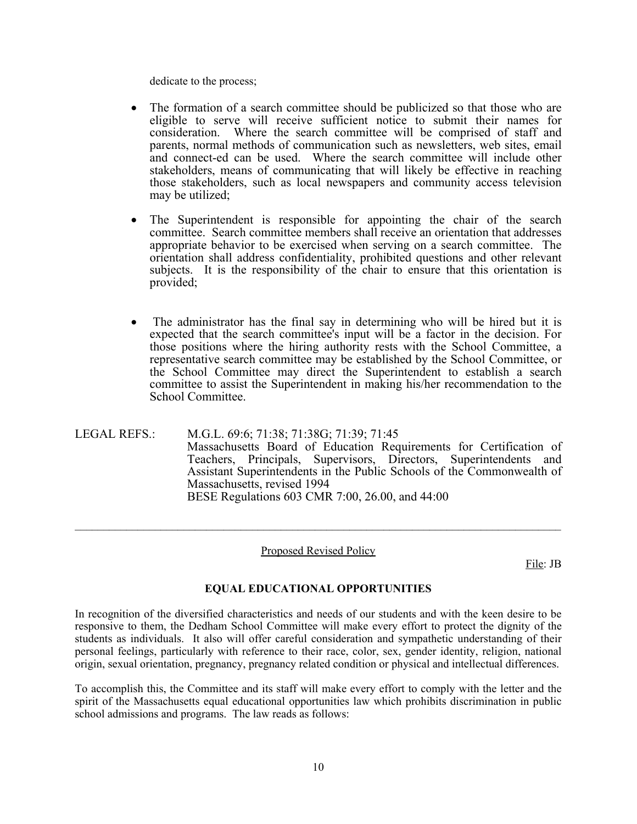dedicate to the process;

- The formation of a search committee should be publicized so that those who are eligible to serve will receive sufficient notice to submit their names for consideration. Where the search committee will be comprised of staff and parents, normal methods of communication such as newsletters, web sites, email and connect-ed can be used. Where the search committee will include other stakeholders, means of communicating that will likely be effective in reaching those stakeholders, such as local newspapers and community access television may be utilized;
- The Superintendent is responsible for appointing the chair of the search committee. Search committee members shall receive an orientation that addresses appropriate behavior to be exercised when serving on a search committee. The orientation shall address confidentiality, prohibited questions and other relevant subjects. It is the responsibility of the chair to ensure that this orientation is provided;
- The administrator has the final say in determining who will be hired but it is expected that the search committee's input will be a factor in the decision. For those positions where the hiring authority rests with the School Committee, a representative search committee may be established by the School Committee, or the School Committee may direct the Superintendent to establish a search committee to assist the Superintendent in making his/her recommendation to the School Committee.

LEGAL REFS.: M.G.L. 69:6; 71:38; 71:38G; 71:39; 71:45 Massachusetts Board of Education Requirements for Certification of Teachers, Principals, Supervisors, Directors, Superintendents and Assistant Superintendents in the Public Schools of the Commonwealth of Massachusetts, revised 1994 BESE Regulations 603 CMR 7:00, 26.00, and 44:00

#### Proposed Revised Policy

 $\_$ 

File: JB

#### **EQUAL EDUCATIONAL OPPORTUNITIES**

In recognition of the diversified characteristics and needs of our students and with the keen desire to be responsive to them, the Dedham School Committee will make every effort to protect the dignity of the students as individuals. It also will offer careful consideration and sympathetic understanding of their personal feelings, particularly with reference to their race, color, sex, gender identity, religion, national origin, sexual orientation, pregnancy, pregnancy related condition or physical and intellectual differences.

To accomplish this, the Committee and its staff will make every effort to comply with the letter and the spirit of the Massachusetts equal educational opportunities law which prohibits discrimination in public school admissions and programs. The law reads as follows: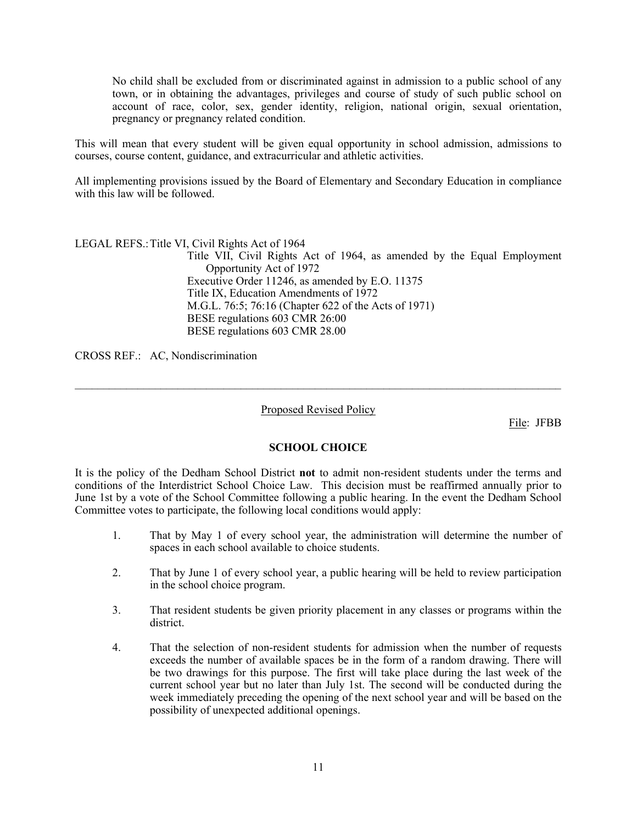No child shall be excluded from or discriminated against in admission to a public school of any town, or in obtaining the advantages, privileges and course of study of such public school on account of race, color, sex, gender identity, religion, national origin, sexual orientation, pregnancy or pregnancy related condition.

This will mean that every student will be given equal opportunity in school admission, admissions to courses, course content, guidance, and extracurricular and athletic activities.

All implementing provisions issued by the Board of Elementary and Secondary Education in compliance with this law will be followed.

LEGAL REFS.: Title VI, Civil Rights Act of 1964

Title VII, Civil Rights Act of 1964, as amended by the Equal Employment Opportunity Act of 1972 Executive Order 11246, as amended by E.O. 11375 Title IX, Education Amendments of 1972 M.G.L. 76:5; 76:16 (Chapter 622 of the Acts of 1971) BESE regulations 603 CMR 26:00 BESE regulations 603 CMR 28.00

CROSS REF.: AC, Nondiscrimination

Proposed Revised Policy

 $\mathcal{L}_\text{max} = \mathcal{L}_\text{max} = \mathcal{L}_\text{max} = \mathcal{L}_\text{max} = \mathcal{L}_\text{max} = \mathcal{L}_\text{max} = \mathcal{L}_\text{max} = \mathcal{L}_\text{max} = \mathcal{L}_\text{max} = \mathcal{L}_\text{max} = \mathcal{L}_\text{max} = \mathcal{L}_\text{max} = \mathcal{L}_\text{max} = \mathcal{L}_\text{max} = \mathcal{L}_\text{max} = \mathcal{L}_\text{max} = \mathcal{L}_\text{max} = \mathcal{L}_\text{max} = \mathcal{$ 

File: JFBB

#### **SCHOOL CHOICE**

It is the policy of the Dedham School District **not** to admit non-resident students under the terms and conditions of the Interdistrict School Choice Law. This decision must be reaffirmed annually prior to June 1st by a vote of the School Committee following a public hearing. In the event the Dedham School Committee votes to participate, the following local conditions would apply:

- 1. That by May 1 of every school year, the administration will determine the number of spaces in each school available to choice students.
- 2. That by June 1 of every school year, a public hearing will be held to review participation in the school choice program.
- 3. That resident students be given priority placement in any classes or programs within the district.
- 4. That the selection of non-resident students for admission when the number of requests exceeds the number of available spaces be in the form of a random drawing. There will be two drawings for this purpose. The first will take place during the last week of the current school year but no later than July 1st. The second will be conducted during the week immediately preceding the opening of the next school year and will be based on the possibility of unexpected additional openings.